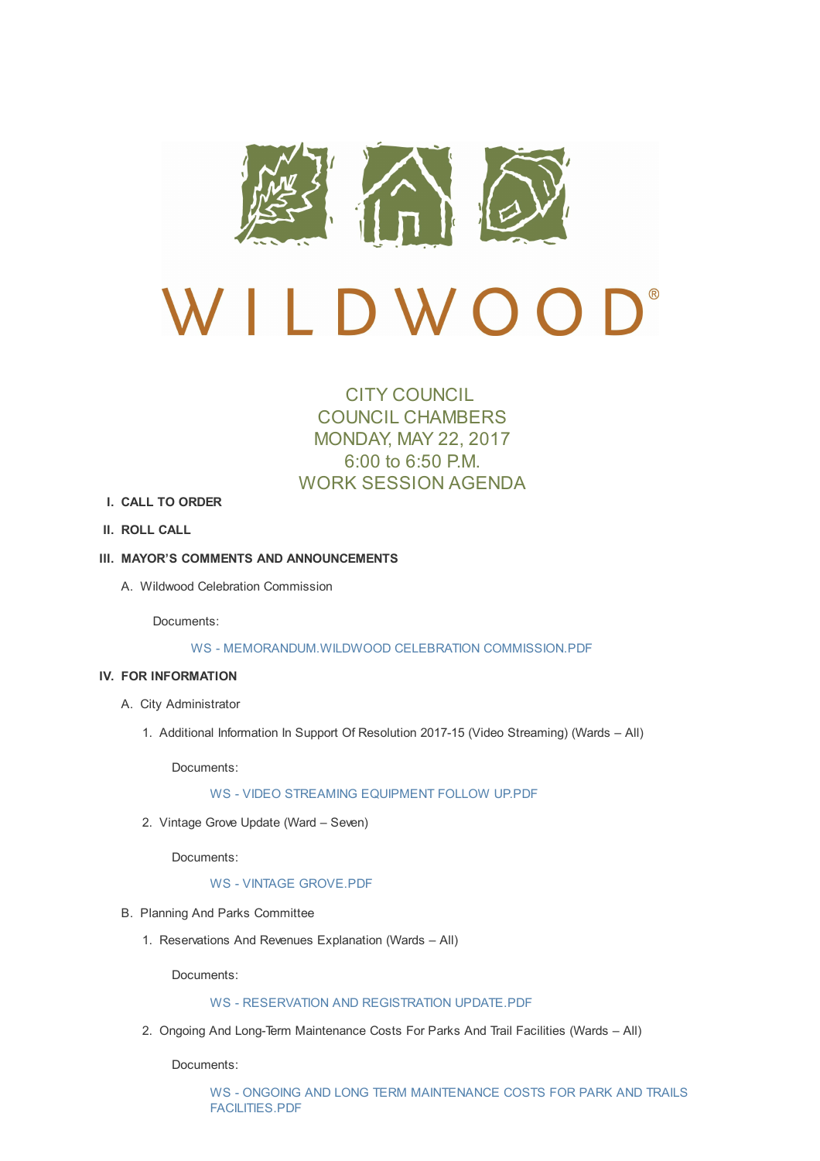

# CITY COUNCIL COUNCIL CHAMBERS MONDAY, MAY 22, 2017 6:00 to 6:50 P.M. WORK SESSION AGENDA

- **I. CALL TO ORDER**
- **II. ROLL CALL**

### **III. MAYOR'S COMMENTS AND ANNOUNCEMENTS**

A. Wildwood Celebration Commission

Documents:

### WS - MEMORANDUM.WILDWOOD CELEBRATION COMMISSION.PDF

#### **IV. FOR INFORMATION**

- A. City Ad[ministrator](http://cityofwildwood.com/AgendaCenter/ViewFile/Item/10943?fileID=15324)
	- 1. Additional Information In Support Of Resolution 2017-15 (Video Streaming) (Wards All)

Documents:

### WS - VIDEO STREAMING EQUIPMENT FOLLOW UP.PDF

2. Vintage Grove Update (Ward – Seven)

Docu[ments:](http://cityofwildwood.com/AgendaCenter/ViewFile/Item/10946?fileID=15325)

### WS - VINTAGE GROVE.PDF

- B. Planning And Parks Committee
	- 1. Reservations And Revenues [Explanatio](http://cityofwildwood.com/AgendaCenter/ViewFile/Item/10947?fileID=15313)n (Wards All)

Documents:

# WS - RESERVATION AND REGISTRATION UPDATE.PDF

2. Ongoing And Long-Term Maintenance Costs For Parks And Trail Facilities (Wards – All)

Docu[ments:](http://cityofwildwood.com/AgendaCenter/ViewFile/Item/10949?fileID=15314)

WS - ONGOING AND LONG TERM MAINTENANCE COSTS FOR PARK AND TRAILS FACILITIES.PDF